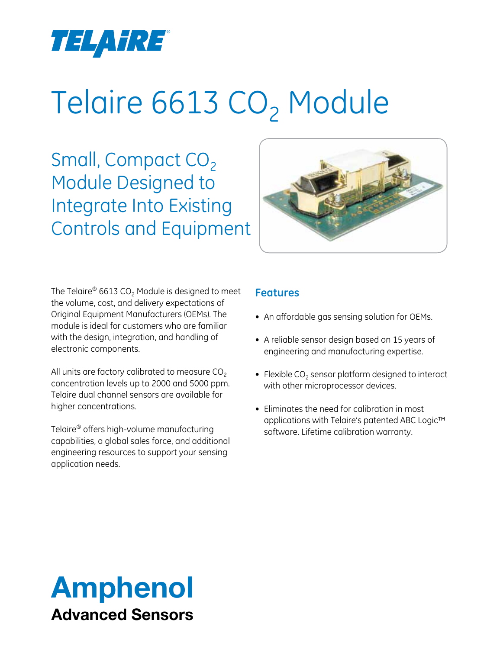

# Telaire 6613 CO<sub>2</sub> Module

Small, Compact  $CO<sub>2</sub>$ Module Designed to Integrate Into Existing Controls and Equipment



The Telaire® 6613 CO<sub>2</sub> Module is designed to meet the volume, cost, and delivery expectations of Original Equipment Manufacturers (OEMs). The module is ideal for customers who are familiar with the design, integration, and handling of electronic components.

All units are factory calibrated to measure  $CO<sub>2</sub>$ concentration levels up to 2000 and 5000 ppm. Telaire dual channel sensors are available for higher concentrations.

Telaire® offers high-volume manufacturing capabilities, a global sales force, and additional engineering resources to support your sensing application needs.

## **Features**

- An affordable gas sensing solution for OEMs.
- A reliable sensor design based on 15 years of engineering and manufacturing expertise.
- Flexible  $CO<sub>2</sub>$  sensor platform designed to interact with other microprocessor devices.
- Eliminates the need for calibration in most applications with Telaire's patented ABC Logic™ software. Lifetime calibration warranty.

# Amphenol Advanced Sensors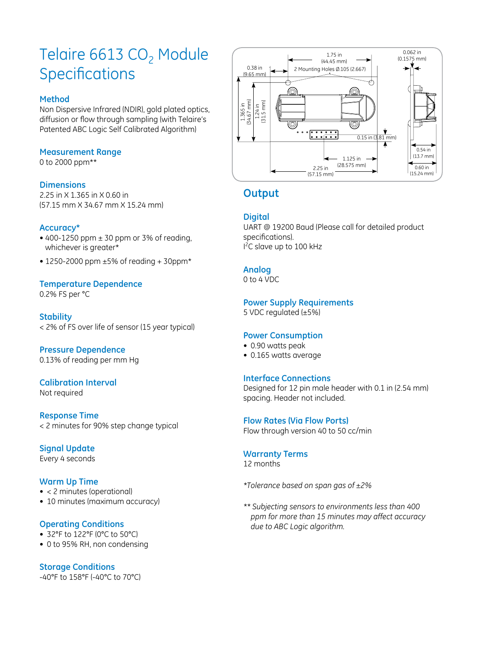# Telaire 6613  $CO<sub>2</sub>$  Module **Specifications**

#### **Method**

Non Dispersive Infrared (NDIR), gold plated optics, diffusion or flow through sampling (with Telaire's Patented ABC Logic Self Calibrated Algorithm)

#### **Measurement Range**

0 to 2000 ppm\*\*

#### **Dimensions**

2.25 in X 1.365 in X 0.60 in (57.15 mm X 34.67 mm X 15.24 mm)

#### **Accuracy\***

- 400-1250 ppm  $\pm$  30 ppm or 3% of reading, whichever is greater\*
- 1250-2000 ppm ±5% of reading + 30ppm\*

### **Temperature Dependence**

0.2% FS per °C

#### **Stability**

< 2% of FS over life of sensor (15 year typical)

#### **Pressure Dependence**

0.13% of reading per mm Hg

#### **Calibration Interval** Not required

**Response Time** < 2 minutes for 90% step change typical

**Signal Update** Every 4 seconds

#### **Warm Up Time**

- < 2 minutes (operational)
- 10 minutes (maximum accuracy)

#### **Operating Conditions**

- 32°F to 122°F (0°C to 50°C)
- 0 to 95% RH, non condensing

#### **Storage Conditions**

-40°F to 158°F (-40°C to 70°C)



# **Output**

#### **Digital**

UART @ 19200 Baud (Please call for detailed product specifications). I<sup>2</sup>C slave up to 100 kHz

#### **Analog**

0 to 4 VDC

#### **Power Supply Requirements**

5 VDC regulated (±5%)

#### **Power Consumption**

- 0.90 watts peak
- • 0.165 watts average

#### **Interface Connections**

Designed for 12 pin male header with 0.1 in (2.54 mm) spacing. Header not included.

#### **Flow Rates (Via Flow Ports)**

Flow through version 40 to 50 cc/min

#### **Warranty Terms**

12 months

*\*Tolerance based on span gas of ±2%*

*\*\* Subjecting sensors to environments less than 400 ppm for more than 15 minutes may affect accuracy due to ABC Logic algorithm.*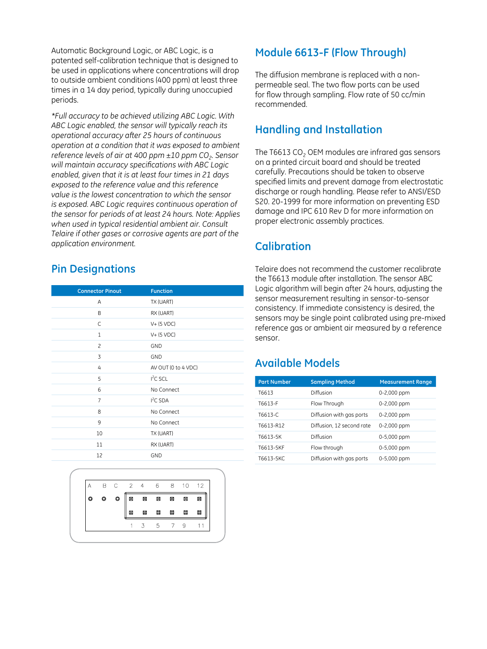Automatic Background Logic, or ABC Logic, is a patented self-calibration technique that is designed to be used in applications where concentrations will drop to outside ambient conditions (400 ppm) at least three times in a 14 day period, typically during unoccupied periods.

*\*Full accuracy to be achieved utilizing ABC Logic. With ABC Logic enabled, the sensor will typically reach its operational accuracy after 25 hours of continuous operation at a condition that it was exposed to ambient reference levels of air at 400 ppm*  $\pm$ *10 ppm CO<sub>2</sub>. Sensor will maintain accuracy specifications with ABC Logic enabled, given that it is at least four times in 21 days exposed to the reference value and this reference value is the lowest concentration to which the sensor is exposed. ABC Logic requires continuous operation of the sensor for periods of at least 24 hours. Note: Applies when used in typical residential ambient air. Consult Telaire if other gases or corrosive agents are part of the application environment.*

# **Pin Designations**

| <b>Connector Pinout</b> | <b>Function</b>      |
|-------------------------|----------------------|
| A                       | TX (UART)            |
| B                       | RX (UART)            |
| C                       | $V+$ (5 VDC)         |
| $\mathbf{1}$            | $V+$ (5 VDC)         |
| $\overline{c}$          | <b>GND</b>           |
| 3                       | <b>GND</b>           |
| 4                       | AV OUT (0 to 4 VDC)  |
| 5                       | I <sup>2</sup> C SCL |
| 6                       | No Connect           |
| 7                       | $I2C$ SDA            |
| 8                       | No Connect           |
| 9                       | No Connect           |
| 10                      | TX (UART)            |
| 11                      | RX (UART)            |
| 12                      | <b>GND</b>           |



# **Module 6613-F (Flow Through)**

The diffusion membrane is replaced with a nonpermeable seal. The two flow ports can be used for flow through sampling. Flow rate of 50 cc/min recommended.

# **Handling and Installation**

The T6613  $CO<sub>2</sub>$  OEM modules are infrared gas sensors on a printed circuit board and should be treated carefully. Precautions should be taken to observe specified limits and prevent damage from electrostatic discharge or rough handling. Please refer to ANSI/ESD S20. 20-1999 for more information on preventing ESD damage and IPC 610 Rev D for more information on proper electronic assembly practices.

# **Calibration**

Telaire does not recommend the customer recalibrate the T6613 module after installation. The sensor ABC Logic algorithm will begin after 24 hours, adjusting the sensor measurement resulting in sensor-to-sensor consistency. If immediate consistency is desired, the sensors may be single point calibrated using pre-mixed reference gas or ambient air measured by a reference sensor.

# **Available Models**

| <b>Part Number</b> | <b>Sampling Method</b>    | <b>Measurement Range</b> |
|--------------------|---------------------------|--------------------------|
| T6613              | Diffusion                 | 0-2,000 ppm              |
| T6613-F            | Flow Through              | 0-2,000 ppm              |
| T6613-C            | Diffusion with gas ports  | 0-2,000 ppm              |
| T6613-R12          | Diffusion, 12 second rate | 0-2,000 ppm              |
| T6613-5K           | Diffusion                 | 0-5,000 ppm              |
| T6613-5KF          | Flow through              | 0-5,000 ppm              |
| T6613-5KC          | Diffusion with gas ports  | 0-5,000 ppm              |